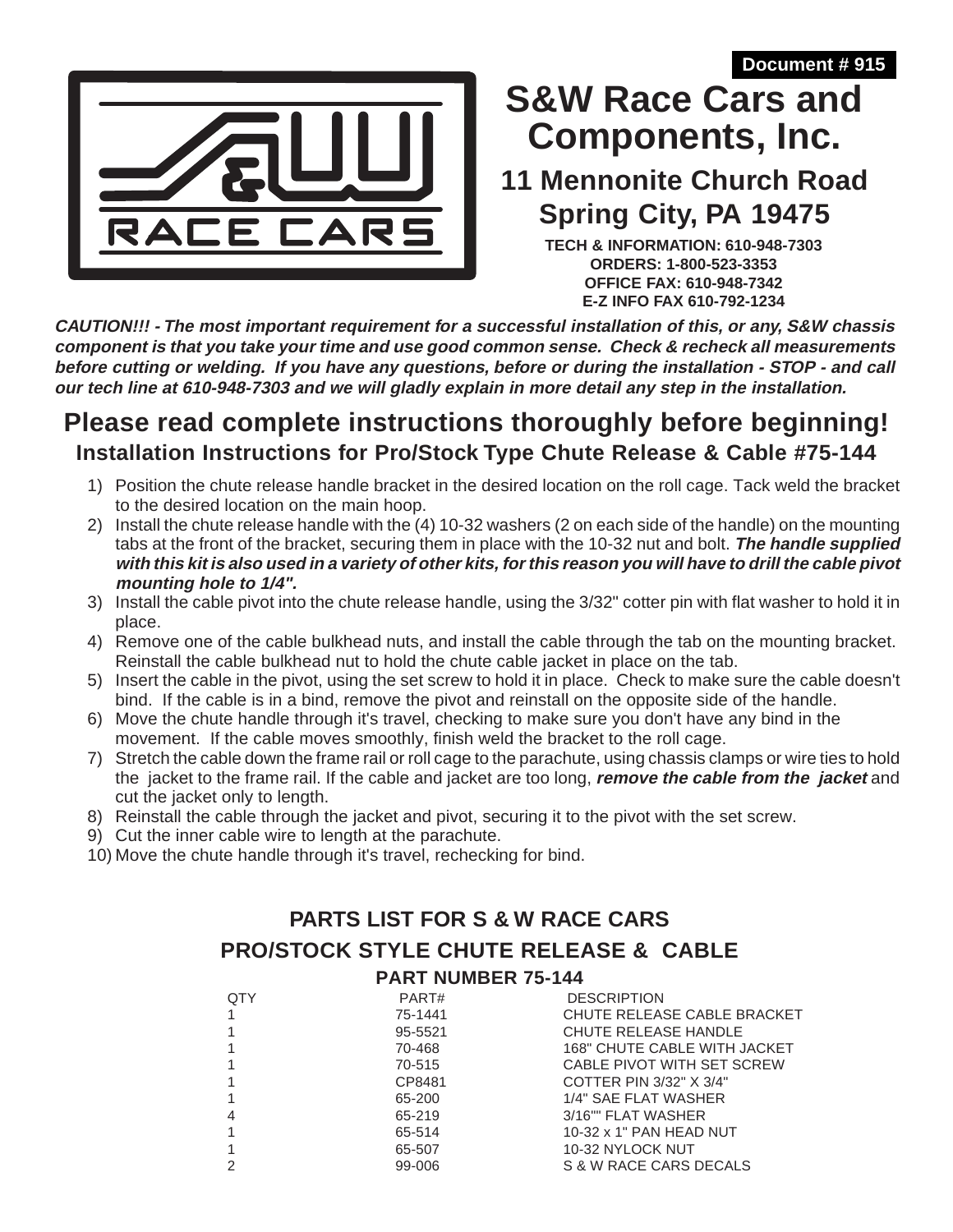**Document # 915**



# **Components, Inc. S&W Race Cars and**

## **11 Mennonite Church Road Spring City, PA 19475**

**TECH & INFORMATION: 610-948-7303 ORDERS: 1-800-523-3353 OFFICE FAX: 610-948-7342 E-Z INFO FAX 610-792-1234**

**CAUTION!!! - The most important requirement for a successful installation of this, or any, S&W chassis component is that you take your time and use good common sense. Check & recheck all measurements before cutting or welding. If you have any questions, before or during the installation - STOP - and call our tech line at 610-948-7303 and we will gladly explain in more detail any step in the installation.**

## **Please read complete instructions thoroughly before beginning! Installation Instructions for Pro/Stock Type Chute Release & Cable #75-144**

- 1) Position the chute release handle bracket in the desired location on the roll cage. Tack weld the bracket to the desired location on the main hoop.
- 2) Install the chute release handle with the (4) 10-32 washers (2 on each side of the handle) on the mounting tabs at the front of the bracket, securing them in place with the 10-32 nut and bolt. **The handle supplied with this kit is also used in a variety of other kits, for this reason you will have to drill the cable pivot mounting hole to 1/4".**
- 3) Install the cable pivot into the chute release handle, using the 3/32" cotter pin with flat washer to hold it in place.
- 4) Remove one of the cable bulkhead nuts, and install the cable through the tab on the mounting bracket. Reinstall the cable bulkhead nut to hold the chute cable jacket in place on the tab.
- 5) Insert the cable in the pivot, using the set screw to hold it in place. Check to make sure the cable doesn't bind. If the cable is in a bind, remove the pivot and reinstall on the opposite side of the handle.
- 6) Move the chute handle through it's travel, checking to make sure you don't have any bind in the movement. If the cable moves smoothly, finish weld the bracket to the roll cage.
- 7) Stretch the cable down the frame rail or roll cage to the parachute, using chassis clamps or wire ties to hold the jacket to the frame rail. If the cable and jacket are too long, **remove the cable from the jacket** and cut the jacket only to length.
- 8) Reinstall the cable through the jacket and pivot, securing it to the pivot with the set screw.
- 9) Cut the inner cable wire to length at the parachute.
- 10) Move the chute handle through it's travel, rechecking for bind.

#### **PARTS LIST FOR S & W RACE CARS PRO/STOCK STYLE CHUTE RELEASE & CABLE PART NUMBER 75-144**

| <b>QTY</b> | PART#   | <b>DESCRIPTION</b>                  |
|------------|---------|-------------------------------------|
|            | 75-1441 | <b>CHUTE RELEASE CABLE BRACKET</b>  |
|            | 95-5521 | CHUTE RELEASE HANDLE                |
|            | 70-468  | <b>168" CHUTE CABLE WITH JACKET</b> |
|            | 70-515  | CABLE PIVOT WITH SET SCREW          |
|            | CP8481  | COTTER PIN 3/32" X 3/4"             |
|            | 65-200  | 1/4" SAE FLAT WASHER                |
| 4          | 65-219  | 3/16"" FLAT WASHER                  |
|            | 65-514  | 10-32 x 1" PAN HEAD NUT             |
|            | 65-507  | 10-32 NYLOCK NUT                    |
|            | 99-006  | S & W RACE CARS DECALS              |